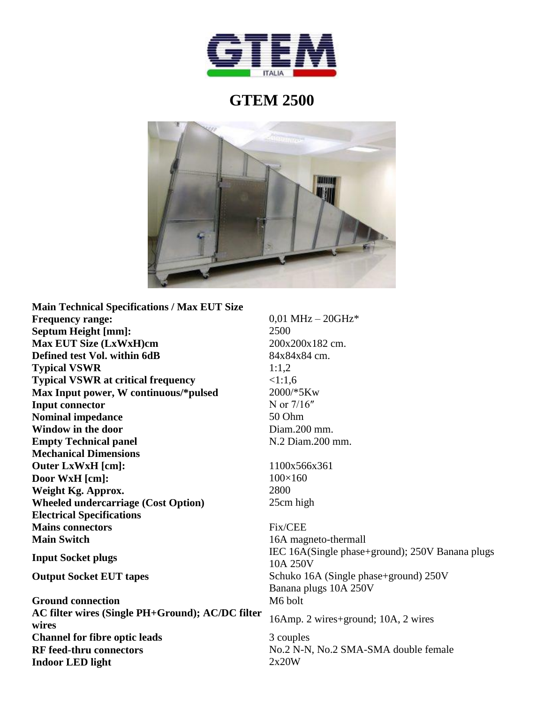

# **GTEM 2500**



**Main Technical Specifications / Max EUT Size Frequency range:** 0,01 MHz – 20GHz\* **Septum Height [mm]:** 2500 **Max EUT Size (LxWxH)cm** 200x200x182 cm. **Defined test Vol. within 6dB** 84x84x84 cm. **Typical VSWR** 1:1,2 **Typical VSWR at critical frequency** <1:1,6 **Max Input power, W continuous/\*pulsed** 2000/\*5Kw **Input connector** N or 7/16" **Nominal impedance** 50 Ohm **Window in the door** Diam.200 mm. **Empty Technical panel** N.2 Diam.200 mm. **Mechanical Dimensions Outer LxWxH [cm]:** 1100x566x361 **Door WxH [cm]:** 100×160 **Weight Kg. Approx.** 2800 **Wheeled undercarriage (Cost Option)** 25cm high **Electrical Specifications Mains connectors** Fix/CEE **Main Switch** 16A magneto-thermall

**Ground connection** M6 bolt **AC filter wires (Single PH+Ground); AC/DC filter EXECUTE:** WHEN WILES (Single 111+Oround), AC/DC much 16Amp. 2 wires+ground; 10A, 2 wires<br>wires **Channel for fibre optic leads** 3 couples **RF feed-thru connectors** No.2 N-N, No.2 SMA-SMA double female **Indoor LED light** 2x20W

**IEC** 16A(Single phase+ground); 250V Banana plugs<br>10A 250V 10A 250V **Output Socket EUT tapes** Schuko 16A (Single phase+ground) 250V Banana plugs 10A 250V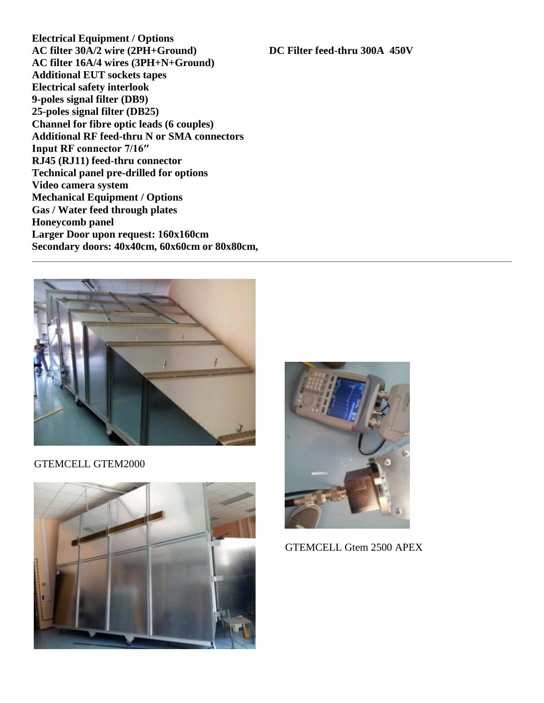**Electrical Equipment / Options AC filter 30A/2 wire (2PH+Ground) DC Filter feed-thru 300A 450V AC filter 16A/4 wires (3PH+N+Ground) Additional EUT sockets tapes Electrical safety interlook 9-poles signal filter (DB9) 25-poles signal filter (DB25) Channel for fibre optic leads (6 couples) Additional RF feed-thru N or SMA connectors Input RF connector 7/16″ RJ45 (RJ11) feed-thru connector Technical panel pre-drilled for options Video camera system Mechanical Equipment / Options Gas / Water feed through plates Honeycomb panel Larger Door upon request: 160x160cm Secondary doors: 40x40cm, 60x60cm or 80x80cm,**



GTEMCELL GTEM2000





GTEMCELL Gtem 2500 APEX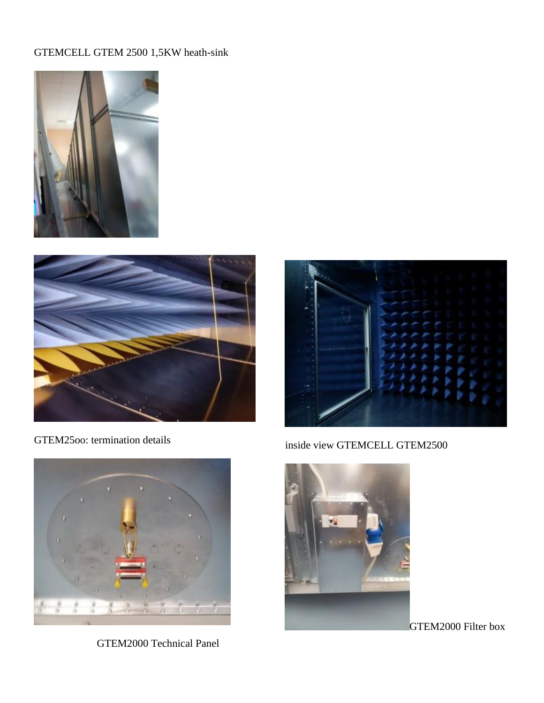### GTEMCELL GTEM 2500 1,5KW heath-sink





GTEM25oo: termination details



GTEM2000 Technical Panel



inside view GTEMCELL GTEM2500



[G](http://www.gtemcell.com/wp-content/uploads/2010/06/20130511_1253562.jpg)TEM2000 Filter box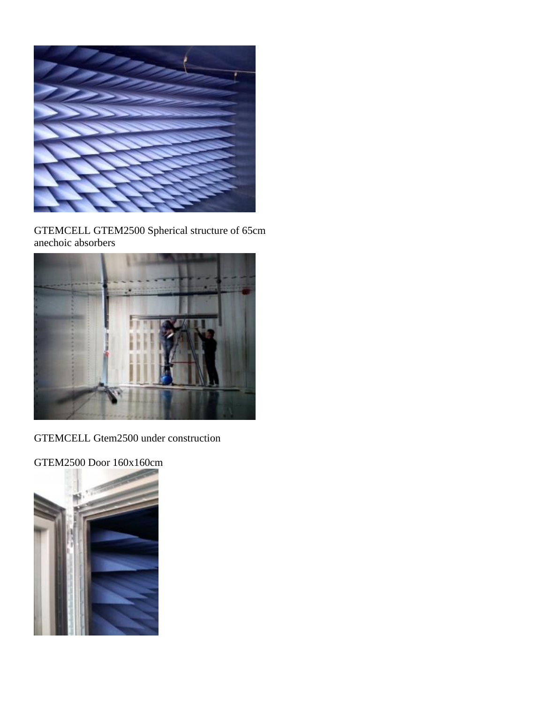

GTEMCELL GTEM2500 Spherical structure of 65cm anechoic absorbers



GTEMCELL Gtem2500 under construction

GTEM2500 Door 160x160cm